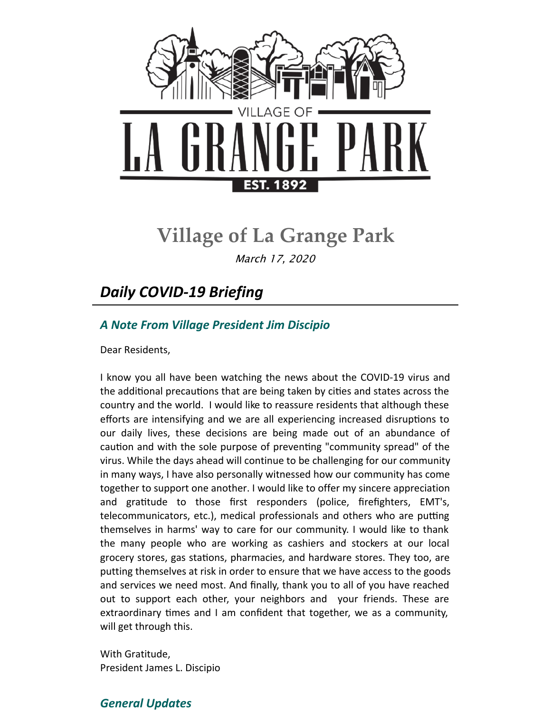

# **Village of La Grange Park**

March 17, 2020

## *Daily COVID-19 Briefing*

## *A Note From Village President Jim Discipio*

Dear Residents,

I know you all have been watching the news about the COVID-19 virus and the additional precautions that are being taken by cities and states across the country and the world. I would like to reassure residents that although these efforts are intensifying and we are all experiencing increased disruptions to our daily lives, these decisions are being made out of an abundance of caution and with the sole purpose of preventing "community spread" of the virus. While the days ahead will continue to be challenging for our community in many ways, I have also personally witnessed how our community has come together to support one another. I would like to offer my sincere appreciation and gratitude to those first responders (police, firefighters, EMT's, telecommunicators, etc.), medical professionals and others who are putting themselves in harms' way to care for our community. I would like to thank the many people who are working as cashiers and stockers at our local grocery stores, gas stations, pharmacies, and hardware stores. They too, are putting themselves at risk in order to ensure that we have access to the goods and services we need most. And finally, thank you to all of you have reached out to support each other, your neighbors and your friends. These are extraordinary times and I am confident that together, we as a community, will get through this.

With Gratitude, President James L. Discipio

### *General Updates*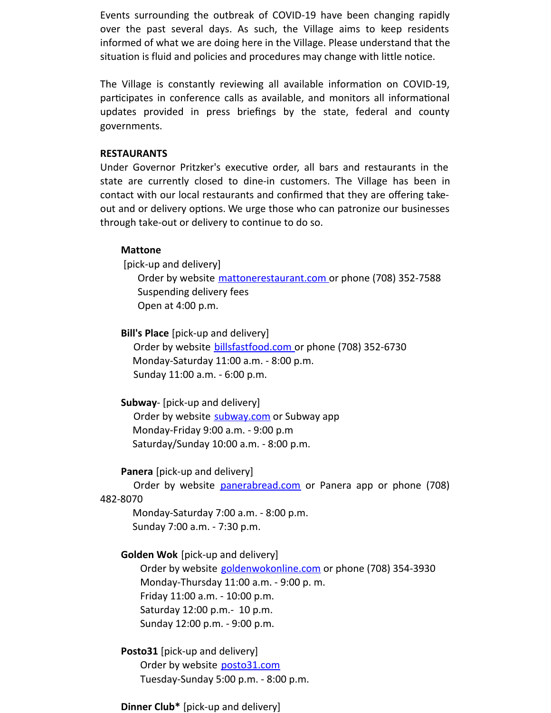Events surrounding the outbreak of COVID-19 have been changing rapidly over the past several days. As such, the Village aims to keep residents informed of what we are doing here in the Village. Please understand that the situation is fluid and policies and procedures may change with little notice.

The Village is constantly reviewing all available information on COVID-19, participates in conference calls as available, and monitors all informational updates provided in press briefings by the state, federal and county governments.

#### **RESTAURANTS**

Under Governor Pritzker's executive order, all bars and restaurants in the state are currently closed to dine-in customers. The Village has been in contact with our local restaurants and confirmed that they are offering takeout and or delivery options. We urge those who can patronize our businesses through take-out or delivery to continue to do so.

#### **Mattone**

[pick-up and delivery]

Order by website [mattonerestaurant.com](http://mattonerestaurant.com) or phone (708) 352-7588 Suspending delivery fees Open at 4:00 p.m.

#### **Bill's Place** [pick-up and delivery]

Order by website **[billsfastfood.com](http://billsfastfood.com)** or phone (708) 352-6730 Monday-Saturday 11:00 a.m. - 8:00 p.m. Sunday 11:00 a.m. - 6:00 p.m.

#### **Subway**- [pick-up and delivery]

Order by website [subway.com](http://subway.com) or Subway app Monday-Friday 9:00 a.m. - 9:00 p.m Saturday/Sunday 10:00 a.m. - 8:00 p.m.

#### **Panera** [pick-up and delivery]

Order by website [panerabread.com](http://panerabread.com) or Panera app or phone (708) 482-8070

Monday-Saturday 7:00 a.m. - 8:00 p.m. Sunday 7:00 a.m. - 7:30 p.m.

#### **Golden Wok** [pick-up and delivery]

Order by website [goldenwokonline.com](http://goldenwokonline.com) or phone (708) 354-3930 Monday-Thursday 11:00 a.m. - 9:00 p. m. Friday 11:00 a.m. - 10:00 p.m. Saturday 12:00 p.m.- 10 p.m. Sunday 12:00 p.m. - 9:00 p.m.

#### **Posto31** [pick-up and delivery]

Order by website [posto31.com](http://posto31.com) Tuesday-Sunday 5:00 p.m. - 8:00 p.m.

#### **Dinner Club\*** [pick-up and delivery]